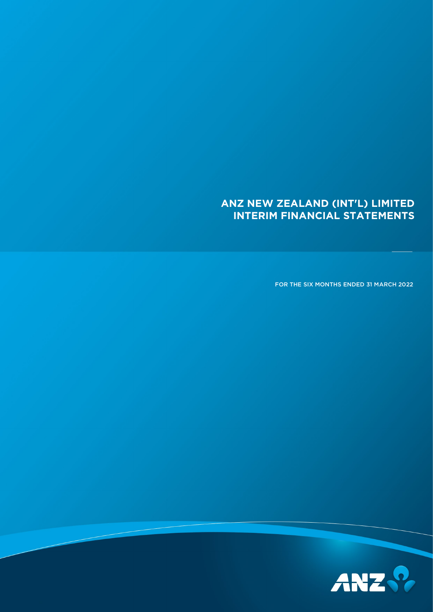# **ANZ NEW ZEALAND (INT'L) LIMITED INTERIM FINANCIAL STATEMENTS**

FOR THE SIX MONTHS ENDED 31 MARCH 2022

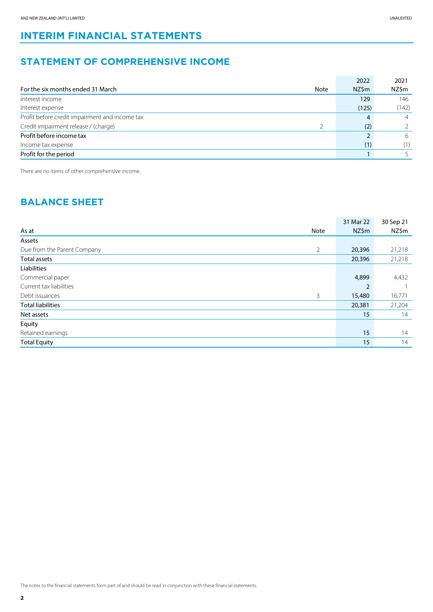# **INTERIM FINANCIAL STATEMENTS**

# **STATEMENT OF COMPREHENSIVE INCOME**

|                                                  | 2022  | 2021           |
|--------------------------------------------------|-------|----------------|
| For the six months ended 31 March<br><b>Note</b> | NZ\$m | NZ\$m          |
| Interest income                                  | 129   | 146            |
| Interest expense                                 | (125) | (142)          |
| Profit before credit impairment and income tax   | 4     | $\overline{4}$ |
| Credit impairment release / (charge)             | (2)   |                |
| Profit before income tax                         |       | 6              |
| Income tax expense                               | (1)   | (1)            |
| Profit for the period                            |       |                |

There are no items of other comprehensive income.

### **BALANCE SHEET**

|                             |                | 31 Mar 22      | 30 Sep 21 |
|-----------------------------|----------------|----------------|-----------|
| As at                       | Note           | NZ\$m          | NZ\$m     |
| Assets                      |                |                |           |
| Due from the Parent Company | $\overline{2}$ | 20,396         | 21,218    |
| Total assets                |                | 20,396         | 21,218    |
| Liabilities                 |                |                |           |
| Commercial paper            |                | 4,899          | 4,432     |
| Current tax liabilities     |                | $\overline{2}$ |           |
| Debt issuances              | 3              | 15,480         | 16,771    |
| <b>Total liabilities</b>    |                | 20,381         | 21,204    |
| Net assets                  |                | 15             | 14        |
| Equity                      |                |                |           |
| Retained earnings           |                | 15             | 14        |
| <b>Total Equity</b>         |                | 15             | 14        |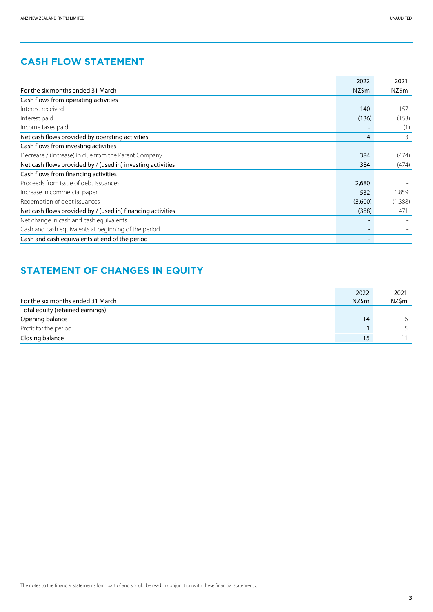|                                                             | 2022    | 2021    |
|-------------------------------------------------------------|---------|---------|
| For the six months ended 31 March                           | NZ\$m   | NZ\$m   |
| Cash flows from operating activities                        |         |         |
| Interest received                                           | 140     | 157     |
| Interest paid                                               | (136)   | (153)   |
| Income taxes paid                                           |         | (1)     |
| Net cash flows provided by operating activities             | 4       | 3       |
| Cash flows from investing activities                        |         |         |
| Decrease / (increase) in due from the Parent Company        | 384     | (474)   |
| Net cash flows provided by / (used in) investing activities | 384     | (474)   |
| Cash flows from financing activities                        |         |         |
| Proceeds from issue of debt issuances                       | 2,680   |         |
| Increase in commercial paper                                | 532     | 1,859   |
| Redemption of debt issuances                                | (3,600) | (1,388) |
| Net cash flows provided by / (used in) financing activities | (388)   | 471     |
| Net change in cash and cash equivalents                     |         |         |
| Cash and cash equivalents at beginning of the period        |         |         |
| Cash and cash equivalents at end of the period              |         |         |

# **STATEMENT OF CHANGES IN EQUITY**

|                                   | 2022  | 2021  |
|-----------------------------------|-------|-------|
| For the six months ended 31 March | NZ\$m | NZ\$m |
| Total equity (retained earnings)  |       |       |
| Opening balance                   | 14    | 6     |
| Profit for the period             |       |       |
| Closing balance                   | 15    |       |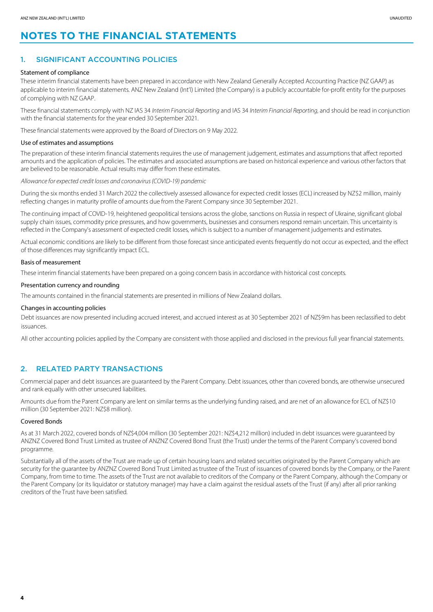# **NOTES TO THE FINANCIAL STATEMENTS**

#### 1. SIGNIFICANT ACCOUNTING POLICIES

#### Statement of compliance

These interim financial statements have been prepared in accordance with New Zealand Generally Accepted Accounting Practice (NZ GAAP) as applicable to interim financial statements. ANZ New Zealand (Int'l) Limited (the Company) is a publicly accountable for-profit entity for the purposes of complying with NZ GAAP.

These financial statements comply with NZ IAS 34 *InterimFinancial Reporting* and IAS 34 *Interim Financial Reporting*, and should be read in conjunction with the financial statements for the year ended 30 September 2021.

These financial statements were approved by the Board of Directors on 9 May 2022.

#### Use of estimates and assumptions

The preparation of these interim financial statements requires the use of management judgement, estimates and assumptions that affect reported amounts and the application of policies. The estimates and associated assumptions are based on historical experience and various other factors that are believed to be reasonable. Actual results may differ from these estimates.

*Allowance for expected credit losses and coronavirus (COVID-19) pandemic*

During the six months ended 31 March 2022 the collectively assessed allowance for expected credit losses (ECL) increased by NZ\$2 million, mainly reflecting changes in maturity profile of amounts due from the Parent Company since 30 September 2021.

The continuing impact of COVID-19, heightened geopolitical tensions across the globe, sanctions on Russia in respect of Ukraine, significant global supply chain issues, commodity price pressures, and how governments, businesses and consumers respond remain uncertain. This uncertainty is reflected in the Company's assessment of expected credit losses, which is subject to a number of management judgements and estimates.

Actual economic conditions are likely to be different from those forecast since anticipated events frequently do not occur as expected, and the effect of those differences may significantly impact ECL.

#### Basis of measurement

These interim financial statements have been prepared on a going concern basis in accordance with historical cost concepts.

#### Presentation currency and rounding

The amounts contained in the financial statements are presented in millions of New Zealand dollars.

#### Changes in accounting policies

Debt issuances are now presented including accrued interest, and accrued interest as at 30 September 2021 of NZ\$9m has been reclassified to debt issuances.

All other accounting policies applied by the Company are consistent with those applied and disclosed in the previous full year financial statements.

#### 2. RELATED PARTY TRANSACTIONS

Commercial paper and debt issuances are guaranteed by the Parent Company. Debt issuances, other than covered bonds, are otherwise unsecured and rank equally with other unsecured liabilities.

Amounts due from the Parent Company are lent on similar terms as the underlying funding raised, and are net of an allowance for ECL of NZ\$10 million (30 September 2021: NZ\$8 million).

#### Covered Bonds

As at 31 March 2022, covered bonds of NZ\$4,004 million (30 September 2021: NZ\$4,212 million) included in debt issuances were guaranteed by ANZNZ Covered Bond Trust Limited as trustee of ANZNZ Covered Bond Trust (the Trust) under the terms of the Parent Company's covered bond programme.

Substantially all of the assets of the Trust are made up of certain housing loans and related securities originated by the Parent Company which are security for the guarantee by ANZNZ Covered Bond Trust Limited astrustee of the Trust of issuances of covered bonds by the Company, or the Parent Company, from time to time. The assets of the Trust are not available to creditors of the Company or the Parent Company, although the Company or the Parent Company (or its liquidator or statutory manager) may have a claim against the residual assets of the Trust (if any) after all prior ranking creditors of the Trust have been satisfied.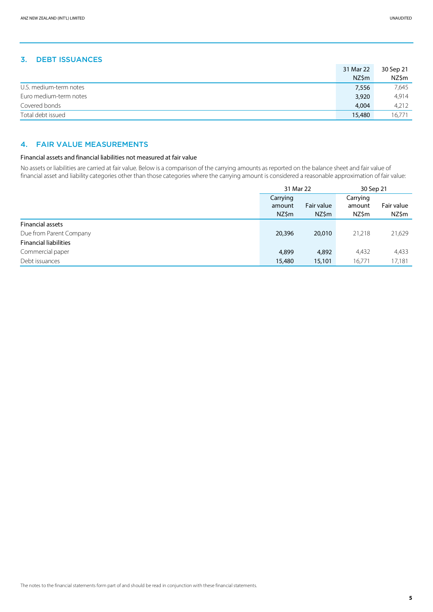#### 3. DEBT ISSUANCES

|                        | 31 Mar 22 | 30 Sep 21 |
|------------------------|-----------|-----------|
|                        | NZ\$m     | NZ\$m     |
| U.S. medium-term notes | 7,556     | 7,645     |
| Euro medium-term notes | 3,920     | 4,914     |
| Covered bonds          | 4.004     | 4,212     |
| Total debt issued      | 15,480    | 16.771    |

#### 4. FAIR VALUE MEASUREMENTS

#### Financial assets and financial liabilities not measured at fair value

No assets or liabilities are carried at fair value. Below is a comparison of the carrying amounts as reported on the balance sheet and fair value of financial asset and liability categories other than those categories where the carrying amount is considered a reasonable approximation of fair value:

|                              | 31 Mar 22                   |                     | 30 Sep 21                   |                     |
|------------------------------|-----------------------------|---------------------|-----------------------------|---------------------|
|                              | Carrying<br>amount<br>NZ\$m | Fair value<br>NZ\$m | Carrying<br>amount<br>NZ\$m | Fair value<br>NZ\$m |
| <b>Financial assets</b>      |                             |                     |                             |                     |
| Due from Parent Company      | 20,396                      | 20,010              | 21,218                      | 21,629              |
| <b>Financial liabilities</b> |                             |                     |                             |                     |
| Commercial paper             | 4,899                       | 4,892               | 4,432                       | 4,433               |
| Debt issuances               | 15,480                      | 15,101              | 16,771                      | 17,181              |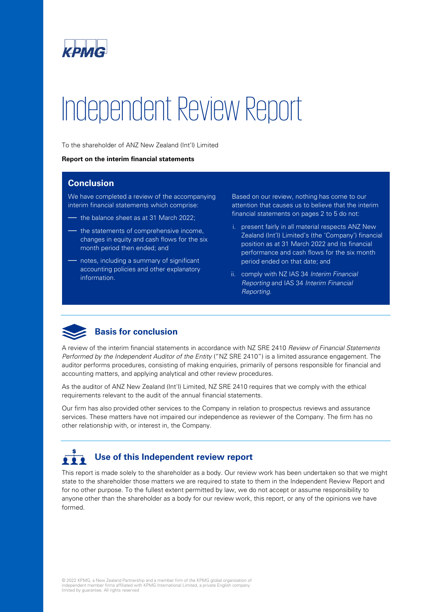

# Independent Review Report

To the shareholder of ANZ New Zealand (Int'l) Limited

#### **Report on the interim financial statements**

#### **Conclusion**

We have completed a review of the accompanying interim financial statements which comprise:

- the balance sheet as at 31 March 2022;
- the statements of comprehensive income, changes in equity and cash flows for the six month period then ended; and
- notes, including a summary of significant accounting policies and other explanatory information.

Based on our review, nothing has come to our attention that causes us to believe that the interim financial statements on pages 2 to 5 do not:

- i. present fairly in all material respects ANZ New Zealand (Int'l) Limited's (the 'Company') financial position as at 31 March 2022 and its financial performance and cash flows for the six month period ended on that date; and
- ii. comply with NZ IAS 34 *Interim Financial Reporting* and IAS 34 *Interim Financial Reporting*.



A review of the interim financial statements in accordance with NZ SRE 2410 *Review of Financial Statements Performed by the Independent Auditor of the Entity* ("NZ SRE 2410") is a limited assurance engagement. The auditor performs procedures, consisting of making enquiries, primarily of persons responsible for financial and accounting matters, and applying analytical and other review procedures.

As the auditor of ANZ New Zealand (Int'l) Limited, NZ SRE 2410 requires that we comply with the ethical requirements relevant to the audit of the annual financial statements.

Our firm has also provided other services to the Company in relation to prospectus reviews and assurance services. These matters have not impaired our independence as reviewer of the Company. The firm has no other relationship with, or interest in, the Company.

#### **Use of this Independent review report**  $222$

This report is made solely to the shareholder as a body. Our review work has been undertaken so that we might state to the shareholder those matters we are required to state to them in the Independent Review Report and for no other purpose. To the fullest extent permitted by law, we do not accept or assume responsibility to anyone other than the shareholder as a body for our review work, this report, or any of the opinions we have formed.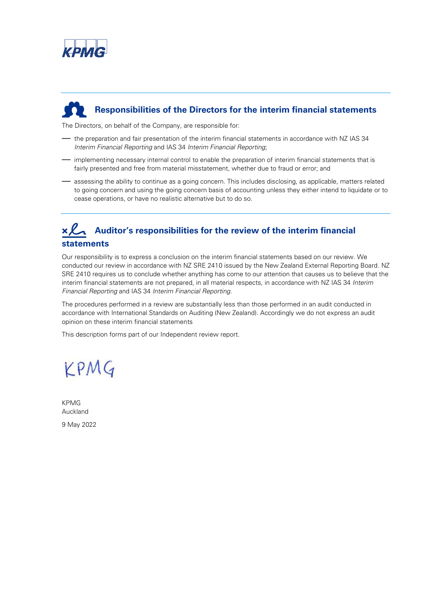

# **Responsibilities of the Directors for the interim financial statements**

The Directors, on behalf of the Company, are responsible for:

- the preparation and fair presentation of the interim financial statements in accordance with NZ IAS 34 *Interim Financial Reporting* and IAS 34 *Interim Financial Reporting*;
- implementing necessary internal control to enable the preparation of interim financial statements that is fairly presented and free from material misstatement, whether due to fraud or error; and
- assessing the ability to continue as a going concern. This includes disclosing, as applicable, matters related to going concern and using the going concern basis of accounting unless they either intend to liquidate or to cease operations, or have no realistic alternative but to do so.

# **Auditor's responsibilities for the review of the interim financial statements**

Our responsibility is to express a conclusion on the interim financial statements based on our review. We conducted our review in accordance with NZ SRE 2410 issued by the New Zealand External Reporting Board. NZ SRE 2410 requires us to conclude whether anything has come to our attention that causes us to believe that the interim financial statements are not prepared, in all material respects, in accordance with NZ IAS 34 *Interim Financial Reporting* and IAS 34 *Interim Financial Reporting*.

The procedures performed in a review are substantially less than those performed in an audit conducted in accordance with International Standards on Auditing (New Zealand). Accordingly we do not express an audit opinion on these interim financial statements

This description forms part of our Independent review report.

# KPMG

KPMG Auckland 9 May 2022